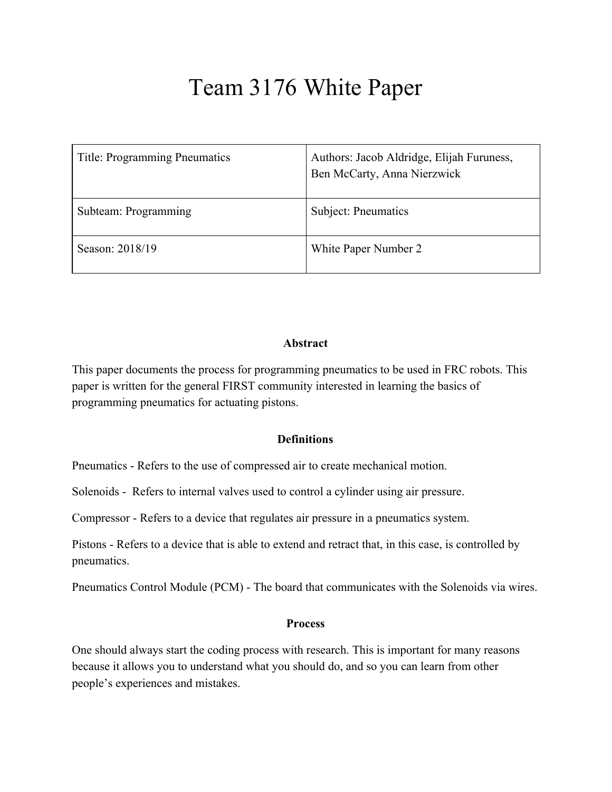# Team 3176 White Paper

| <b>Title: Programming Pneumatics</b> | Authors: Jacob Aldridge, Elijah Furuness,<br>Ben McCarty, Anna Nierzwick |
|--------------------------------------|--------------------------------------------------------------------------|
| Subteam: Programming                 | Subject: Pneumatics                                                      |
| Season: 2018/19                      | White Paper Number 2                                                     |

#### **Abstract**

This paper documents the process for programming pneumatics to be used in FRC robots. This paper is written for the general FIRST community interested in learning the basics of programming pneumatics for actuating pistons.

#### **Definitions**

Pneumatics - Refers to the use of compressed air to create mechanical motion.

Solenoids - Refers to internal valves used to control a cylinder using air pressure.

Compressor - Refers to a device that regulates air pressure in a pneumatics system.

Pistons - Refers to a device that is able to extend and retract that, in this case, is controlled by pneumatics.

Pneumatics Control Module (PCM) - The board that communicates with the Solenoids via wires.

#### **Process**

One should always start the coding process with research. This is important for many reasons because it allows you to understand what you should do, and so you can learn from other people's experiences and mistakes.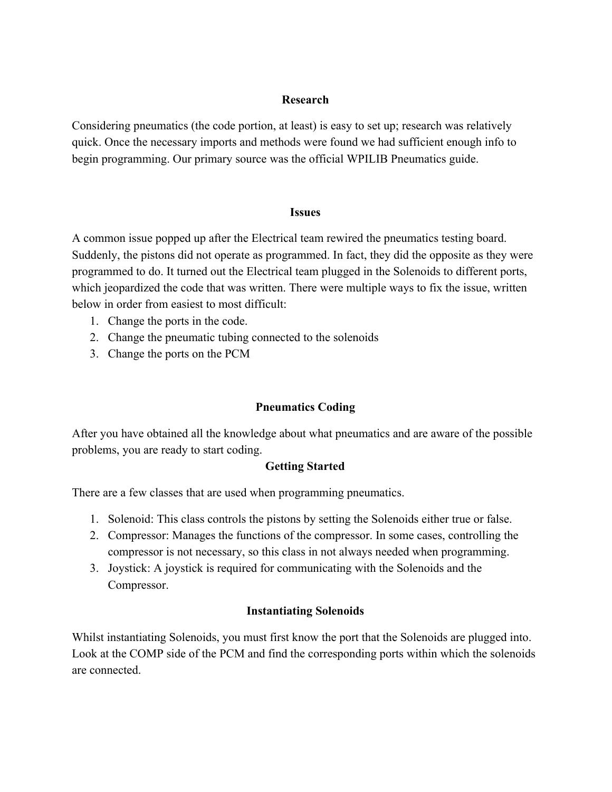## **Research**

Considering pneumatics (the code portion, at least) is easy to set up; research was relatively quick. Once the necessary imports and methods were found we had sufficient enough info to begin programming. Our primary source was the official WPILIB Pneumatics guide.

#### **Issues**

A common issue popped up after the Electrical team rewired the pneumatics testing board. Suddenly, the pistons did not operate as programmed. In fact, they did the opposite as they were programmed to do. It turned out the Electrical team plugged in the Solenoids to different ports, which jeopardized the code that was written. There were multiple ways to fix the issue, written below in order from easiest to most difficult:

- 1. Change the ports in the code.
- 2. Change the pneumatic tubing connected to the solenoids
- 3. Change the ports on the PCM

# **Pneumatics Coding**

After you have obtained all the knowledge about what pneumatics and are aware of the possible problems, you are ready to start coding.

# **Getting Started**

There are a few classes that are used when programming pneumatics.

- 1. Solenoid: This class controls the pistons by setting the Solenoids either true or false.
- 2. Compressor: Manages the functions of the compressor. In some cases, controlling the compressor is not necessary, so this class in not always needed when programming.
- 3. Joystick: A joystick is required for communicating with the Solenoids and the Compressor.

# **Instantiating Solenoids**

Whilst instantiating Solenoids, you must first know the port that the Solenoids are plugged into. Look at the COMP side of the PCM and find the corresponding ports within which the solenoids are connected.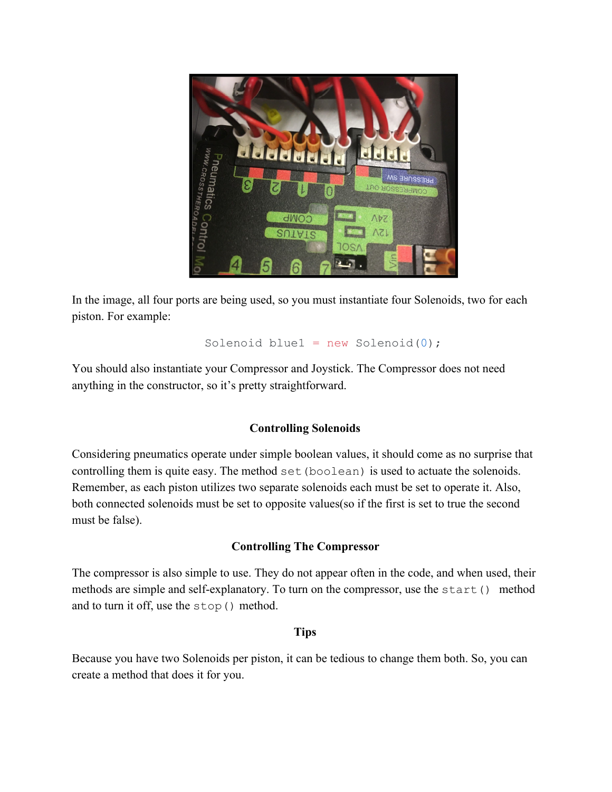

In the image, all four ports are being used, so you must instantiate four Solenoids, two for each piston. For example:

Solenoid blue1 =  $new$  Solenoid(0);

You should also instantiate your Compressor and Joystick. The Compressor does not need anything in the constructor, so it's pretty straightforward.

# **Controlling Solenoids**

Considering pneumatics operate under simple boolean values, it should come as no surprise that controlling them is quite easy. The method set (boolean) is used to actuate the solenoids. Remember, as each piston utilizes two separate solenoids each must be set to operate it. Also, both connected solenoids must be set to opposite values(so if the first is set to true the second must be false).

### **Controlling The Compressor**

The compressor is also simple to use. They do not appear often in the code, and when used, their methods are simple and self-explanatory. To turn on the compressor, use the start() method and to turn it off, use the stop() method.

#### **Tips**

Because you have two Solenoids per piston, it can be tedious to change them both. So, you can create a method that does it for you.